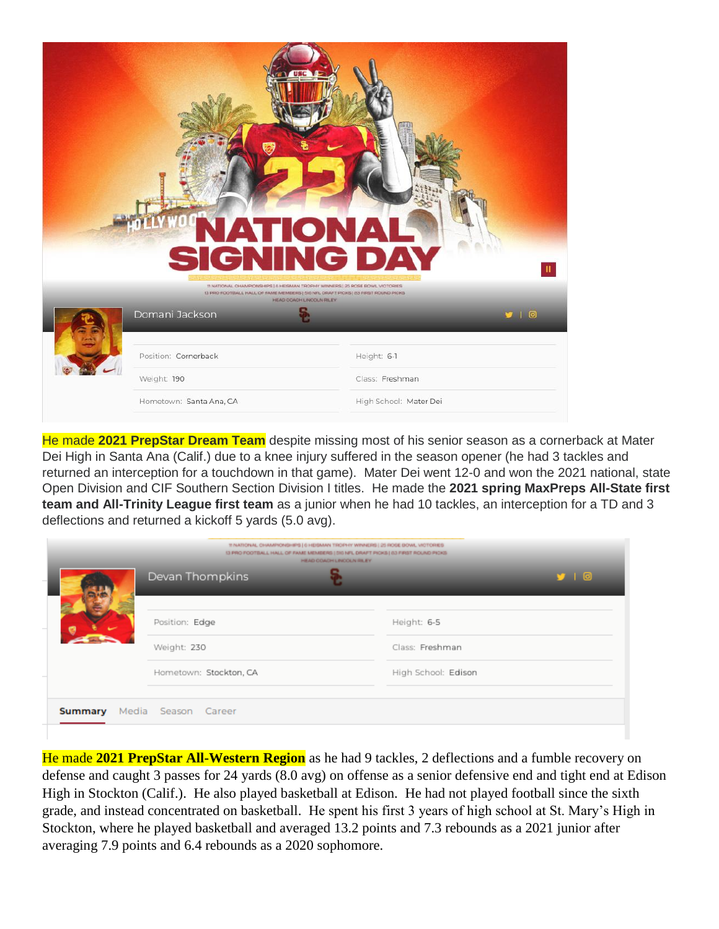|             | <b>IATIONA</b><br><b>SIGNING DAY</b><br>TI NATIONAL CHAMPIONSHIPS   6 HEISMAN TROPHY WINNERS   25 ROSE BOWL VICTORIES           |                        |
|-------------|---------------------------------------------------------------------------------------------------------------------------------|------------------------|
|             | 13 PRO FOOTBALL HALL OF FAMILMEMBERS   516 NFL DRAFT PICKS   63 FIRST ROUND PICKS<br>HEAD COACH LINCOLN RILEY<br>Domani Jackson | 910                    |
|             | Position: Cornerback                                                                                                            | Height: 6-1            |
| Weight: 190 |                                                                                                                                 | Class: Freshman        |
|             | Hometown: Santa Ana, CA                                                                                                         | High School: Mater Dei |

He made **2021 PrepStar Dream Team** despite missing most of his senior season as a cornerback at Mater Dei High in Santa Ana (Calif.) due to a knee injury suffered in the season opener (he had 3 tackles and returned an interception for a touchdown in that game). Mater Dei went 12-0 and won the 2021 national, state Open Division and CIF Southern Section Division I titles. He made the **2021 spring MaxPreps All-State first team and All-Trinity League first team** as a junior when he had 10 tackles, an interception for a TD and 3 deflections and returned a kickoff 5 yards (5.0 avg).

|         |  |                        | 11 NATIONAL CHAMPIONSHIPS   6 HEISMAN TROPHY WINNERS   25 ROSE BOWL VICTORIES<br>13 PRO FOOTBALL HALL OF FAME MEMBERS   510 MFL DRAFT PICKS   63 FIRST ROUND PICKS<br>HEAD COACH LINCOLN RILEY. |      |
|---------|--|------------------------|-------------------------------------------------------------------------------------------------------------------------------------------------------------------------------------------------|------|
|         |  | Devan Thompkins        |                                                                                                                                                                                                 | J 10 |
|         |  |                        |                                                                                                                                                                                                 |      |
|         |  | Position: Edge         | Height: 6-5                                                                                                                                                                                     |      |
|         |  | Weight: 230            | Class: Freshman                                                                                                                                                                                 |      |
|         |  | Hometown: Stockton, CA | High School: Edison                                                                                                                                                                             |      |
|         |  |                        |                                                                                                                                                                                                 |      |
| Summary |  | Media Season Career    |                                                                                                                                                                                                 |      |
|         |  |                        |                                                                                                                                                                                                 |      |

He made **2021 PrepStar All-Western Region** as he had 9 tackles, 2 deflections and a fumble recovery on defense and caught 3 passes for 24 yards (8.0 avg) on offense as a senior defensive end and tight end at Edison High in Stockton (Calif.). He also played basketball at Edison. He had not played football since the sixth grade, and instead concentrated on basketball. He spent his first 3 years of high school at St. Mary's High in Stockton, where he played basketball and averaged 13.2 points and 7.3 rebounds as a 2021 junior after averaging 7.9 points and 6.4 rebounds as a 2020 sophomore.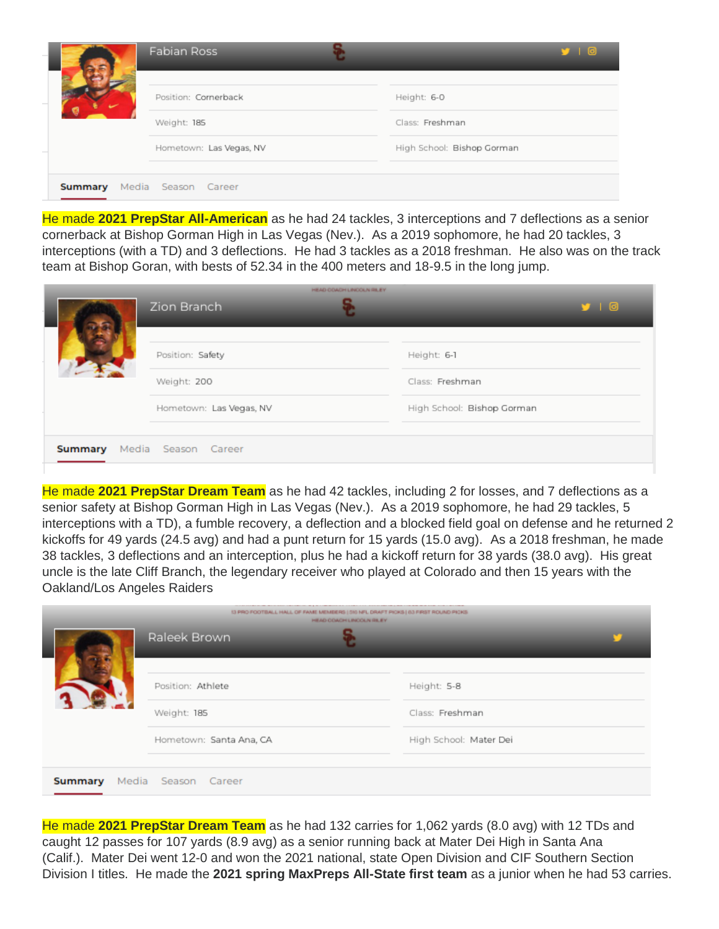|         | Fabian Ross             | $9$ $1$ $0$                |
|---------|-------------------------|----------------------------|
|         | Position: Cornerback    | Height: 6-0                |
|         | Weight: 185             | Class: Freshman            |
|         | Hometown: Las Vegas, NV | High School: Bishop Gorman |
| Summary | Media Season Career     |                            |

He made **2021 PrepStar All-American** as he had 24 tackles, 3 interceptions and 7 deflections as a senior cornerback at Bishop Gorman High in Las Vegas (Nev.). As a 2019 sophomore, he had 20 tackles, 3 interceptions (with a TD) and 3 deflections. He had 3 tackles as a 2018 freshman. He also was on the track team at Bishop Goran, with bests of 52.34 in the 400 meters and 18-9.5 in the long jump.

|                                    | HEAD COACH LINCOLN RILEY<br>Zion Branch | y   0                          |
|------------------------------------|-----------------------------------------|--------------------------------|
|                                    | Position: Safety<br>Weight: 200         | Height: 6-1<br>Class: Freshman |
|                                    | Hometown: Las Vegas, NV                 | High School: Bishop Gorman     |
| <b>Summary</b> Media Season Career |                                         |                                |

He made **2021 PrepStar Dream Team** as he had 42 tackles, including 2 for losses, and 7 deflections as a senior safety at Bishop Gorman High in Las Vegas (Nev.). As a 2019 sophomore, he had 29 tackles, 5 interceptions with a TD), a fumble recovery, a deflection and a blocked field goal on defense and he returned 2 kickoffs for 49 yards (24.5 avg) and had a punt return for 15 yards (15.0 avg). As a 2018 freshman, he made 38 tackles, 3 deflections and an interception, plus he had a kickoff return for 38 yards (38.0 avg). His great uncle is the late Cliff Branch, the legendary receiver who played at Colorado and then 15 years with the Oakland/Los Angeles Raiders

|         | 13 PRO FOOTBALL HALL OF FAME MEMBERS   310 NFL DRAFT PICKS   03 FIRST ROUND PICKS<br>HEAD COACH LINCOLN RILEY |                        |  |
|---------|---------------------------------------------------------------------------------------------------------------|------------------------|--|
|         | Raleek Brown                                                                                                  |                        |  |
|         |                                                                                                               |                        |  |
|         | Position: Athlete                                                                                             | Height: 5-8            |  |
|         | Weight: 185                                                                                                   | Class: Freshman        |  |
|         | Hometown: Santa Ana, CA                                                                                       | High School: Mater Dei |  |
|         |                                                                                                               |                        |  |
| Summary | Media Season Career                                                                                           |                        |  |

He made **2021 PrepStar Dream Team** as he had 132 carries for 1,062 yards (8.0 avg) with 12 TDs and caught 12 passes for 107 yards (8.9 avg) as a senior running back at Mater Dei High in Santa Ana (Calif.). Mater Dei went 12-0 and won the 2021 national, state Open Division and CIF Southern Section Division I titles. He made the **2021 spring MaxPreps All-State first team** as a junior when he had 53 carries.